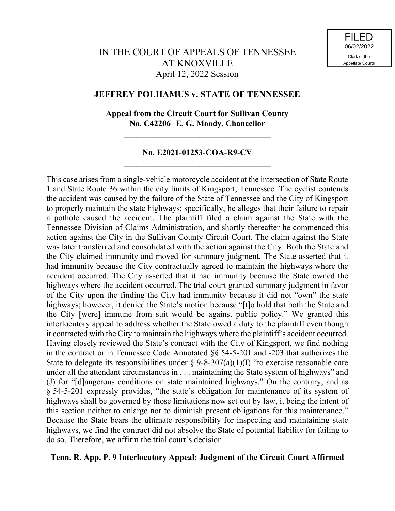# IN THE COURT OF APPEALS OF TENNESSEE AT KNOXVILLE April 12, 2022 Session

#### **JEFFREY POLHAMUS v. STATE OF TENNESSEE**

### **Appeal from the Circuit Court for Sullivan County No. C42206 E. G. Moody, Chancellor**

**\_\_\_\_\_\_\_\_\_\_\_\_\_\_\_\_\_\_\_\_\_\_\_\_\_\_\_\_\_\_\_\_\_\_\_**

### **No. E2021-01253-COA-R9-CV \_\_\_\_\_\_\_\_\_\_\_\_\_\_\_\_\_\_\_\_\_\_\_\_\_\_\_\_\_\_\_\_\_\_\_**

This case arises from a single-vehicle motorcycle accident at the intersection of State Route 1 and State Route 36 within the city limits of Kingsport, Tennessee. The cyclist contends the accident was caused by the failure of the State of Tennessee and the City of Kingsport to properly maintain the state highways; specifically, he alleges that their failure to repair a pothole caused the accident. The plaintiff filed a claim against the State with the Tennessee Division of Claims Administration, and shortly thereafter he commenced this action against the City in the Sullivan County Circuit Court. The claim against the State was later transferred and consolidated with the action against the City. Both the State and the City claimed immunity and moved for summary judgment. The State asserted that it had immunity because the City contractually agreed to maintain the highways where the accident occurred. The City asserted that it had immunity because the State owned the highways where the accident occurred. The trial court granted summary judgment in favor of the City upon the finding the City had immunity because it did not "own" the state highways; however, it denied the State's motion because "[t]o hold that both the State and the City [were] immune from suit would be against public policy." We granted this interlocutory appeal to address whether the State owed a duty to the plaintiff even though it contracted with the City to maintain the highways where the plaintiff's accident occurred. Having closely reviewed the State's contract with the City of Kingsport, we find nothing in the contract or in Tennessee Code Annotated §§ 54-5-201 and -203 that authorizes the State to delegate its responsibilities under  $\S$  9-8-307(a)(1)(I) "to exercise reasonable care under all the attendant circumstances in . . . maintaining the State system of highways" and (J) for "[d]angerous conditions on state maintained highways." On the contrary, and as § 54-5-201 expressly provides, "the state's obligation for maintenance of its system of highways shall be governed by those limitations now set out by law, it being the intent of this section neither to enlarge nor to diminish present obligations for this maintenance." Because the State bears the ultimate responsibility for inspecting and maintaining state highways, we find the contract did not absolve the State of potential liability for failing to do so. Therefore, we affirm the trial court's decision.

### **Tenn. R. App. P. 9 Interlocutory Appeal; Judgment of the Circuit Court Affirmed**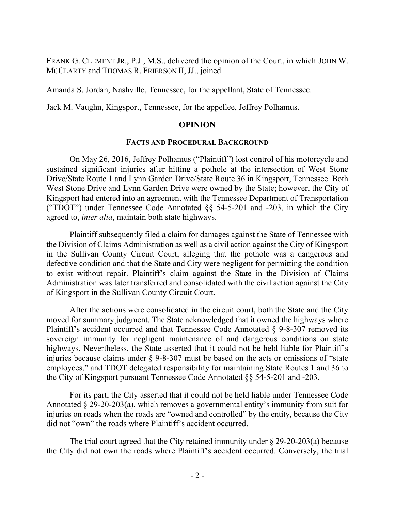FRANK G. CLEMENT JR., P.J., M.S., delivered the opinion of the Court, in which JOHN W. MCCLARTY and THOMAS R. FRIERSON II, JJ., joined.

Amanda S. Jordan, Nashville, Tennessee, for the appellant, State of Tennessee.

Jack M. Vaughn, Kingsport, Tennessee, for the appellee, Jeffrey Polhamus.

## **OPINION**

### **FACTS AND PROCEDURAL BACKGROUND**

On May 26, 2016, Jeffrey Polhamus ("Plaintiff") lost control of his motorcycle and sustained significant injuries after hitting a pothole at the intersection of West Stone Drive/State Route 1 and Lynn Garden Drive/State Route 36 in Kingsport, Tennessee. Both West Stone Drive and Lynn Garden Drive were owned by the State; however, the City of Kingsport had entered into an agreement with the Tennessee Department of Transportation ("TDOT") under Tennessee Code Annotated §§ 54-5-201 and -203, in which the City agreed to, *inter alia*, maintain both state highways.

Plaintiff subsequently filed a claim for damages against the State of Tennessee with the Division of Claims Administration as well as a civil action against the City of Kingsport in the Sullivan County Circuit Court, alleging that the pothole was a dangerous and defective condition and that the State and City were negligent for permitting the condition to exist without repair. Plaintiff's claim against the State in the Division of Claims Administration was later transferred and consolidated with the civil action against the City of Kingsport in the Sullivan County Circuit Court.

After the actions were consolidated in the circuit court, both the State and the City moved for summary judgment. The State acknowledged that it owned the highways where Plaintiff's accident occurred and that Tennessee Code Annotated § 9-8-307 removed its sovereign immunity for negligent maintenance of and dangerous conditions on state highways. Nevertheless, the State asserted that it could not be held liable for Plaintiff's injuries because claims under § 9-8-307 must be based on the acts or omissions of "state employees," and TDOT delegated responsibility for maintaining State Routes 1 and 36 to the City of Kingsport pursuant Tennessee Code Annotated §§ 54-5-201 and -203.

For its part, the City asserted that it could not be held liable under Tennessee Code Annotated § 29-20-203(a), which removes a governmental entity's immunity from suit for injuries on roads when the roads are "owned and controlled" by the entity, because the City did not "own" the roads where Plaintiff's accident occurred.

The trial court agreed that the City retained immunity under  $\S 29-20-203(a)$  because the City did not own the roads where Plaintiff's accident occurred. Conversely, the trial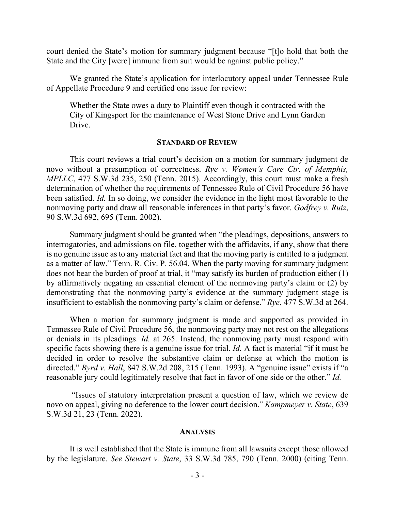court denied the State's motion for summary judgment because "[t]o hold that both the State and the City [were] immune from suit would be against public policy."

We granted the State's application for interlocutory appeal under Tennessee Rule of Appellate Procedure 9 and certified one issue for review:

Whether the State owes a duty to Plaintiff even though it contracted with the City of Kingsport for the maintenance of West Stone Drive and Lynn Garden Drive.

#### **STANDARD OF REVIEW**

This court reviews a trial court's decision on a motion for summary judgment de novo without a presumption of correctness. *Rye v. Women's Care Ctr. of Memphis, MPLLC*, 477 S.W.3d 235, 250 (Tenn. 2015). Accordingly, this court must make a fresh determination of whether the requirements of Tennessee Rule of Civil Procedure 56 have been satisfied. *Id.* In so doing, we consider the evidence in the light most favorable to the nonmoving party and draw all reasonable inferences in that party's favor. *Godfrey v. Ruiz*, 90 S.W.3d 692, 695 (Tenn. 2002).

Summary judgment should be granted when "the pleadings, depositions, answers to interrogatories, and admissions on file, together with the affidavits, if any, show that there is no genuine issue as to any material fact and that the moving party is entitled to a judgment as a matter of law." Tenn. R. Civ. P. 56.04. When the party moving for summary judgment does not bear the burden of proof at trial, it "may satisfy its burden of production either (1) by affirmatively negating an essential element of the nonmoving party's claim or (2) by demonstrating that the nonmoving party's evidence at the summary judgment stage is insufficient to establish the nonmoving party's claim or defense." *Rye*, 477 S.W.3d at 264.

When a motion for summary judgment is made and supported as provided in Tennessee Rule of Civil Procedure 56, the nonmoving party may not rest on the allegations or denials in its pleadings. *Id.* at 265. Instead, the nonmoving party must respond with specific facts showing there is a genuine issue for trial. *Id.* A fact is material "if it must be decided in order to resolve the substantive claim or defense at which the motion is directed." *Byrd v. Hall*, 847 S.W.2d 208, 215 (Tenn. 1993). A "genuine issue" exists if "a reasonable jury could legitimately resolve that fact in favor of one side or the other." *Id.*

"Issues of statutory interpretation present a question of law, which we review de novo on appeal, giving no deference to the lower court decision." *Kampmeyer v. State*, 639 S.W.3d 21, 23 (Tenn. 2022).

#### **ANALYSIS**

It is well established that the State is immune from all lawsuits except those allowed by the legislature. *See Stewart v. State*, 33 S.W.3d 785, 790 (Tenn. 2000) (citing Tenn.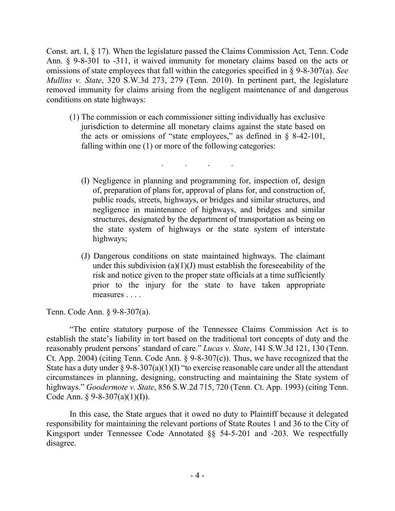Const. art. I, § 17). When the legislature passed the Claims Commission Act, Tenn. Code Ann. § 9-8-301 to -311, it waived immunity for monetary claims based on the acts or omissions of state employees that fall within the categories specified in § 9-8-307(a). *See Mullins v. State*, 320 S.W.3d 273, 279 (Tenn. 2010). In pertinent part, the legislature removed immunity for claims arising from the negligent maintenance of and dangerous conditions on state highways:

(1) The commission or each commissioner sitting individually has exclusive jurisdiction to determine all monetary claims against the state based on the acts or omissions of "state employees," as defined in § 8-42-101, falling within one (1) or more of the following categories:

. . . .

- (I) Negligence in planning and programming for, inspection of, design of, preparation of plans for, approval of plans for, and construction of, public roads, streets, highways, or bridges and similar structures, and negligence in maintenance of highways, and bridges and similar structures, designated by the department of transportation as being on the state system of highways or the state system of interstate highways;
- (J) Dangerous conditions on state maintained highways. The claimant under this subdivision  $(a)(1)(J)$  must establish the foreseeability of the risk and notice given to the proper state officials at a time sufficiently prior to the injury for the state to have taken appropriate measures . . . .

Tenn. Code Ann. § 9-8-307(a).

"The entire statutory purpose of the Tennessee Claims Commission Act is to establish the state's liability in tort based on the traditional tort concepts of duty and the reasonably prudent persons' standard of care." *Lucas v. State*, 141 S.W.3d 121, 130 (Tenn. Ct. App. 2004) (citing Tenn. Code Ann. § 9-8-307(c)). Thus, we have recognized that the State has a duty under  $\S 9-8-307(a)(1)(I)$  "to exercise reasonable care under all the attendant circumstances in planning, designing, constructing and maintaining the State system of highways." *Goodermote v. State*, 856 S.W.2d 715, 720 (Tenn. Ct. App. 1993) (citing Tenn. Code Ann. § 9-8-307(a)(1)(I)).

In this case, the State argues that it owed no duty to Plaintiff because it delegated responsibility for maintaining the relevant portions of State Routes 1 and 36 to the City of Kingsport under Tennessee Code Annotated §§ 54-5-201 and -203. We respectfully disagree.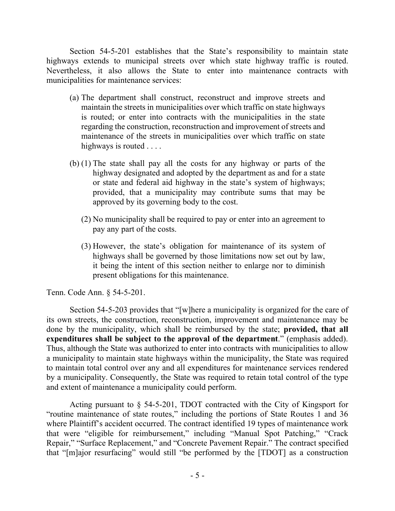Section 54-5-201 establishes that the State's responsibility to maintain state highways extends to municipal streets over which state highway traffic is routed. Nevertheless, it also allows the State to enter into maintenance contracts with municipalities for maintenance services:

- (a) The department shall construct, reconstruct and improve streets and maintain the streets in municipalities over which traffic on state highways is routed; or enter into contracts with the municipalities in the state regarding the construction, reconstruction and improvement of streets and maintenance of the streets in municipalities over which traffic on state highways is routed . . . .
- (b) (1) The state shall pay all the costs for any highway or parts of the highway designated and adopted by the department as and for a state or state and federal aid highway in the state's system of highways; provided, that a municipality may contribute sums that may be approved by its governing body to the cost.
	- (2) No municipality shall be required to pay or enter into an agreement to pay any part of the costs.
	- (3) However, the state's obligation for maintenance of its system of highways shall be governed by those limitations now set out by law, it being the intent of this section neither to enlarge nor to diminish present obligations for this maintenance.

Tenn. Code Ann. § 54-5-201.

Section 54-5-203 provides that "[w]here a municipality is organized for the care of its own streets, the construction, reconstruction, improvement and maintenance may be done by the municipality, which shall be reimbursed by the state; **provided, that all expenditures shall be subject to the approval of the department**." (emphasis added). Thus, although the State was authorized to enter into contracts with municipalities to allow a municipality to maintain state highways within the municipality, the State was required to maintain total control over any and all expenditures for maintenance services rendered by a municipality. Consequently, the State was required to retain total control of the type and extent of maintenance a municipality could perform.

Acting pursuant to § 54-5-201, TDOT contracted with the City of Kingsport for "routine maintenance of state routes," including the portions of State Routes 1 and 36 where Plaintiff's accident occurred. The contract identified 19 types of maintenance work that were "eligible for reimbursement," including "Manual Spot Patching," "Crack Repair," "Surface Replacement," and "Concrete Pavement Repair." The contract specified that "[m]ajor resurfacing" would still "be performed by the [TDOT] as a construction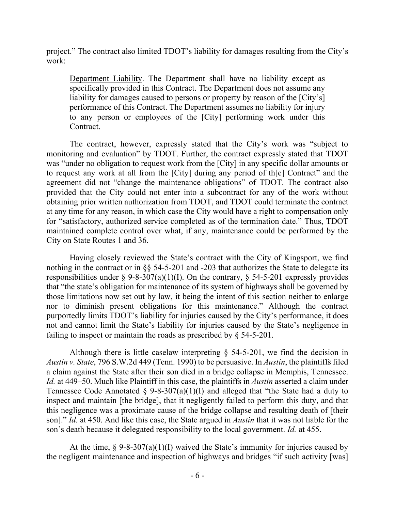project." The contract also limited TDOT's liability for damages resulting from the City's work:

Department Liability. The Department shall have no liability except as specifically provided in this Contract. The Department does not assume any liability for damages caused to persons or property by reason of the [City's] performance of this Contract. The Department assumes no liability for injury to any person or employees of the [City] performing work under this Contract.

The contract, however, expressly stated that the City's work was "subject to monitoring and evaluation" by TDOT. Further, the contract expressly stated that TDOT was "under no obligation to request work from the [City] in any specific dollar amounts or to request any work at all from the [City] during any period of th[e] Contract" and the agreement did not "change the maintenance obligations" of TDOT. The contract also provided that the City could not enter into a subcontract for any of the work without obtaining prior written authorization from TDOT, and TDOT could terminate the contract at any time for any reason, in which case the City would have a right to compensation only for "satisfactory, authorized service completed as of the termination date." Thus, TDOT maintained complete control over what, if any, maintenance could be performed by the City on State Routes 1 and 36.

Having closely reviewed the State's contract with the City of Kingsport, we find nothing in the contract or in §§ 54-5-201 and -203 that authorizes the State to delegate its responsibilities under  $\S$  9-8-307(a)(1)(I). On the contrary,  $\S$  54-5-201 expressly provides that "the state's obligation for maintenance of its system of highways shall be governed by those limitations now set out by law, it being the intent of this section neither to enlarge nor to diminish present obligations for this maintenance." Although the contract purportedly limits TDOT's liability for injuries caused by the City's performance, it does not and cannot limit the State's liability for injuries caused by the State's negligence in failing to inspect or maintain the roads as prescribed by § 54-5-201.

Although there is little caselaw interpreting  $\S$  54-5-201, we find the decision in *Austin v. State*, 796 S.W.2d 449 (Tenn. 1990) to be persuasive. In *Austin*, the plaintiffs filed a claim against the State after their son died in a bridge collapse in Memphis, Tennessee. *Id.* at 449–50. Much like Plaintiff in this case, the plaintiffs in *Austin* asserted a claim under Tennessee Code Annotated § 9-8-307(a)(1)(I) and alleged that "the State had a duty to inspect and maintain [the bridge], that it negligently failed to perform this duty, and that this negligence was a proximate cause of the bridge collapse and resulting death of [their son]." *Id.* at 450. And like this case, the State argued in *Austin* that it was not liable for the son's death because it delegated responsibility to the local government. *Id.* at 455.

At the time,  $\S 9-8-307(a)(1)(1)$  waived the State's immunity for injuries caused by the negligent maintenance and inspection of highways and bridges "if such activity [was]